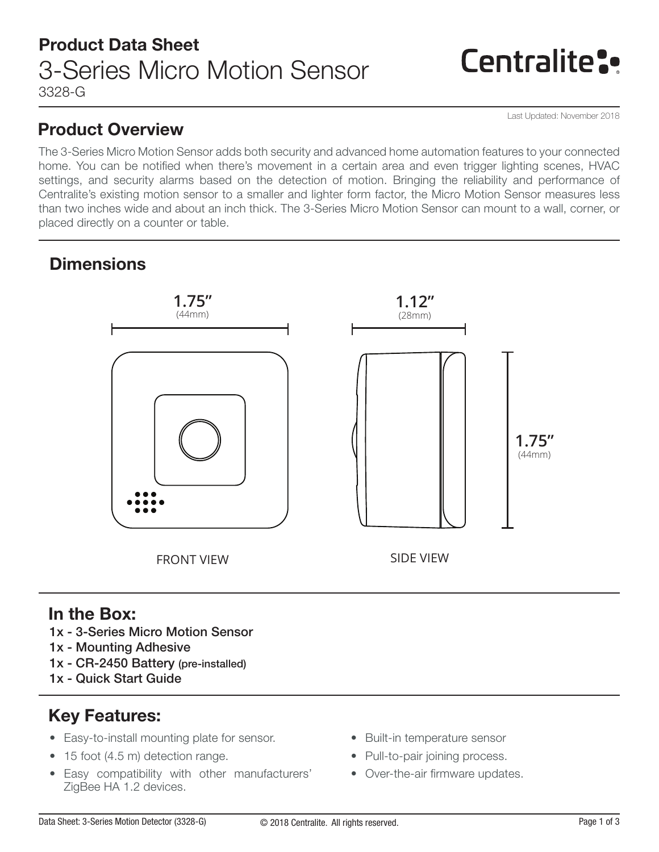# **Centralite:**

Last Updated: November 2018

### Product Overview

The 3-Series Micro Motion Sensor adds both security and advanced home automation features to your connected home. You can be notified when there's movement in a certain area and even trigger lighting scenes, HVAC settings, and security alarms based on the detection of motion. Bringing the reliability and performance of Centralite's existing motion sensor to a smaller and lighter form factor, the Micro Motion Sensor measures less than two inches wide and about an inch thick. The 3-Series Micro Motion Sensor can mount to a wall, corner, or placed directly on a counter or table.

### **Dimensions**



### In the Box:

- 1x 3-Series Micro Motion Sensor
- 1x Mounting Adhesive
- 1x CR-2450 Battery (pre-installed)
- 1x Quick Start Guide

### Key Features:

- Easy-to-install mounting plate for sensor.
- 15 foot (4.5 m) detection range.
- Easy compatibility with other manufacturers' ZigBee HA 1.2 devices.
- Built-in temperature sensor
- Pull-to-pair joining process.
- Over-the-air firmware updates.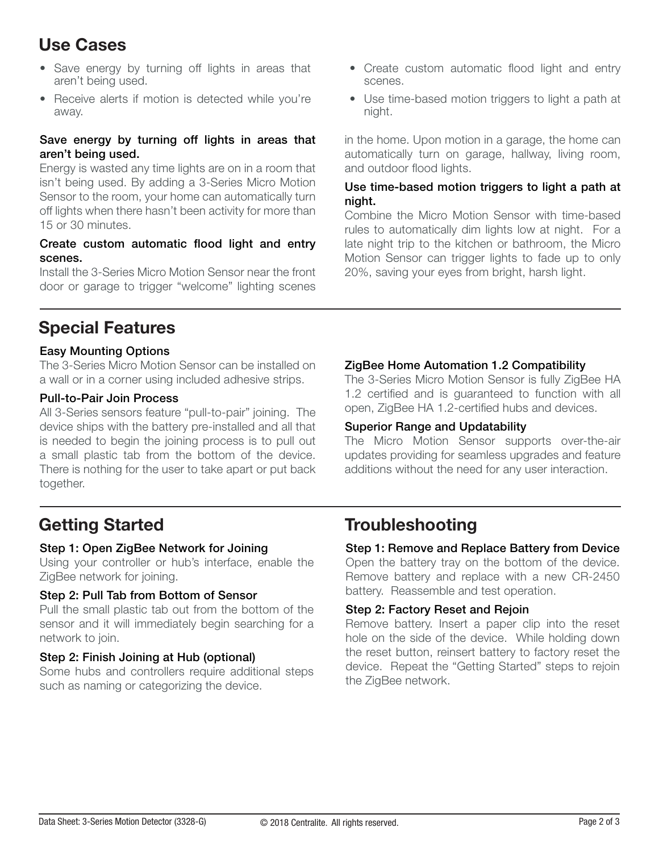## Use Cases

- Save energy by turning off lights in areas that aren't being used.
- Receive alerts if motion is detected while you're away.

#### Save energy by turning off lights in areas that aren't being used.

Energy is wasted any time lights are on in a room that isn't being used. By adding a 3-Series Micro Motion Sensor to the room, your home can automatically turn off lights when there hasn't been activity for more than 15 or 30 minutes.

#### Create custom automatic flood light and entry scenes.

Install the 3-Series Micro Motion Sensor near the front door or garage to trigger "welcome" lighting scenes

- Create custom automatic flood light and entry scenes.
- Use time-based motion triggers to light a path at night.

in the home. Upon motion in a garage, the home can automatically turn on garage, hallway, living room, and outdoor flood lights.

#### Use time-based motion triggers to light a path at night.

Combine the Micro Motion Sensor with time-based rules to automatically dim lights low at night. For a late night trip to the kitchen or bathroom, the Micro Motion Sensor can trigger lights to fade up to only 20%, saving your eyes from bright, harsh light.

### Special Features

### Easy Mounting Options

The 3-Series Micro Motion Sensor can be installed on a wall or in a corner using included adhesive strips.

### Pull-to-Pair Join Process

All 3-Series sensors feature "pull-to-pair" joining. The device ships with the battery pre-installed and all that is needed to begin the joining process is to pull out a small plastic tab from the bottom of the device. There is nothing for the user to take apart or put back together.

### open, ZigBee HA 1.2-certified hubs and devices.

#### Superior Range and Updatability

The Micro Motion Sensor supports over-the-air updates providing for seamless upgrades and feature additions without the need for any user interaction.

The 3-Series Micro Motion Sensor is fully ZigBee HA 1.2 certified and is guaranteed to function with all

ZigBee Home Automation 1.2 Compatibility

### Step 1: Open ZigBee Network for Joining

Using your controller or hub's interface, enable the ZigBee network for joining.

### Step 2: Pull Tab from Bottom of Sensor

Pull the small plastic tab out from the bottom of the sensor and it will immediately begin searching for a network to join.

### Step 2: Finish Joining at Hub (optional)

Some hubs and controllers require additional steps such as naming or categorizing the device.

### Getting Started Troubleshooting

### Step 1: Remove and Replace Battery from Device

Open the battery tray on the bottom of the device. Remove battery and replace with a new CR-2450 battery. Reassemble and test operation.

### Step 2: Factory Reset and Rejoin

Remove battery. Insert a paper clip into the reset hole on the side of the device. While holding down the reset button, reinsert battery to factory reset the device. Repeat the "Getting Started" steps to rejoin the ZigBee network.